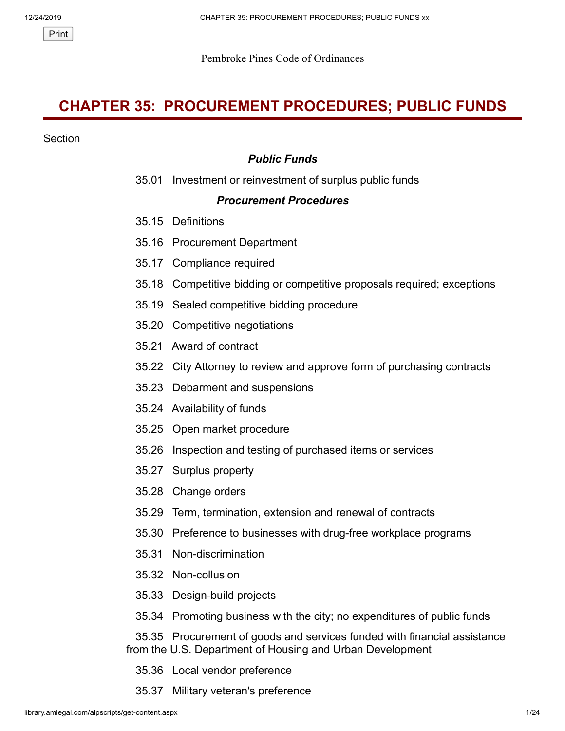Pembroke Pines Code of Ordinances

# **CHAPTER 35: PROCUREMENT PROCEDURES; PUBLIC FUNDS**

#### **Section**

# *Public Funds*

35.01 Investment or reinvestment of surplus public funds

#### *Procurement Procedures*

- 35.15 Definitions
- 35.16 Procurement Department
- 35.17 Compliance required
- 35.18 Competitive bidding or competitive proposals required; exceptions
- 35.19 Sealed competitive bidding procedure
- 35.20 Competitive negotiations
- 35.21 Award of contract
- 35.22 City Attorney to review and approve form of purchasing contracts
- 35.23 Debarment and suspensions
- 35.24 Availability of funds
- 35.25 Open market procedure
- 35.26 Inspection and testing of purchased items or services
- 35.27 Surplus property
- 35.28 Change orders
- 35.29 Term, termination, extension and renewal of contracts
- 35.30 Preference to businesses with drug-free workplace programs
- 35.31 Non-discrimination
- 35.32 Non-collusion
- 35.33 Design-build projects
- 35.34 Promoting business with the city; no expenditures of public funds

 35.35 Procurement of goods and services funded with financial assistance from the U.S. Department of Housing and Urban Development

- 35.36 Local vendor preference
- 35.37 Military veteran's preference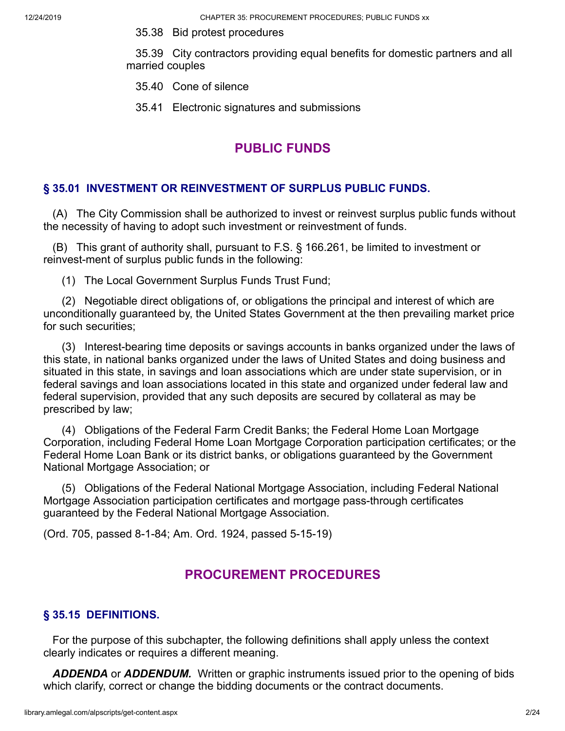12/24/2019 CHAPTER 35: PROCUREMENT PROCEDURES; PUBLIC FUNDS xx

35.38 Bid protest procedures

 35.39 City contractors providing equal benefits for domestic partners and all married couples

- 35.40 Cone of silence
- 35.41 Electronic signatures and submissions

# **PUBLIC FUNDS**

### **§ 35.01 INVESTMENT OR REINVESTMENT OF SURPLUS PUBLIC FUNDS.**

 (A) The City Commission shall be authorized to invest or reinvest surplus public funds without the necessity of having to adopt such investment or reinvestment of funds.

 (B) This grant of authority shall, pursuant to F.S. § 166.261, be limited to investment or reinvest-ment of surplus public funds in the following:

(1) The Local Government Surplus Funds Trust Fund;

 (2) Negotiable direct obligations of, or obligations the principal and interest of which are unconditionally guaranteed by, the United States Government at the then prevailing market price for such securities;

 (3) Interest-bearing time deposits or savings accounts in banks organized under the laws of this state, in national banks organized under the laws of United States and doing business and situated in this state, in savings and loan associations which are under state supervision, or in federal savings and loan associations located in this state and organized under federal law and federal supervision, provided that any such deposits are secured by collateral as may be prescribed by law;

 (4) Obligations of the Federal Farm Credit Banks; the Federal Home Loan Mortgage Corporation, including Federal Home Loan Mortgage Corporation participation certificates; or the Federal Home Loan Bank or its district banks, or obligations guaranteed by the Government National Mortgage Association; or

 (5) Obligations of the Federal National Mortgage Association, including Federal National Mortgage Association participation certificates and mortgage pass-through certificates guaranteed by the Federal National Mortgage Association.

(Ord. 705, passed 8-1-84; Am. Ord. 1924, passed 5-15-19)

# **PROCUREMENT PROCEDURES**

### **§ 35.15 DEFINITIONS.**

 For the purpose of this subchapter, the following definitions shall apply unless the context clearly indicates or requires a different meaning.

*ADDENDA* or *ADDENDUM.* Written or graphic instruments issued prior to the opening of bids which clarify, correct or change the bidding documents or the contract documents.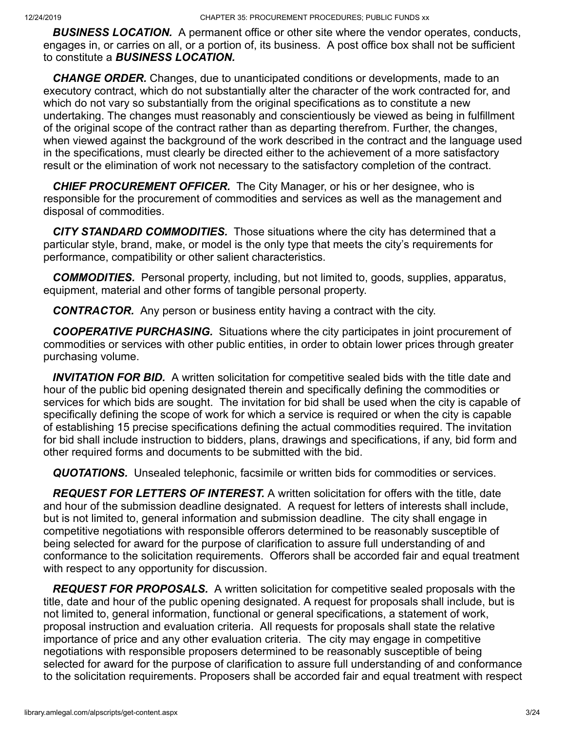*BUSINESS LOCATION.* A permanent office or other site where the vendor operates, conducts, engages in, or carries on all, or a portion of, its business. A post office box shall not be sufficient to constitute a *BUSINESS LOCATION.*

 *CHANGE ORDER.* Changes, due to unanticipated conditions or developments, made to an executory contract, which do not substantially alter the character of the work contracted for, and which do not vary so substantially from the original specifications as to constitute a new undertaking. The changes must reasonably and conscientiously be viewed as being in fulfillment of the original scope of the contract rather than as departing therefrom. Further, the changes, when viewed against the background of the work described in the contract and the language used in the specifications, must clearly be directed either to the achievement of a more satisfactory result or the elimination of work not necessary to the satisfactory completion of the contract.

 *CHIEF PROCUREMENT OFFICER.* The City Manager, or his or her designee, who is responsible for the procurement of commodities and services as well as the management and disposal of commodities.

 *CITY STANDARD COMMODITIES.* Those situations where the city has determined that a particular style, brand, make, or model is the only type that meets the city's requirements for performance, compatibility or other salient characteristics.

 *COMMODITIES.* Personal property, including, but not limited to, goods, supplies, apparatus, equipment, material and other forms of tangible personal property.

*CONTRACTOR.* Any person or business entity having a contract with the city.

 *COOPERATIVE PURCHASING.* Situations where the city participates in joint procurement of commodities or services with other public entities, in order to obtain lower prices through greater purchasing volume.

 *INVITATION FOR BID.* A written solicitation for competitive sealed bids with the title date and hour of the public bid opening designated therein and specifically defining the commodities or services for which bids are sought. The invitation for bid shall be used when the city is capable of specifically defining the scope of work for which a service is required or when the city is capable of establishing 15 precise specifications defining the actual commodities required. The invitation for bid shall include instruction to bidders, plans, drawings and specifications, if any, bid form and other required forms and documents to be submitted with the bid.

*QUOTATIONS.* Unsealed telephonic, facsimile or written bids for commodities or services.

 *REQUEST FOR LETTERS OF INTEREST.* A written solicitation for offers with the title, date and hour of the submission deadline designated. A request for letters of interests shall include, but is not limited to, general information and submission deadline. The city shall engage in competitive negotiations with responsible offerors determined to be reasonably susceptible of being selected for award for the purpose of clarification to assure full understanding of and conformance to the solicitation requirements. Offerors shall be accorded fair and equal treatment with respect to any opportunity for discussion.

 *REQUEST FOR PROPOSALS.* A written solicitation for competitive sealed proposals with the title, date and hour of the public opening designated. A request for proposals shall include, but is not limited to, general information, functional or general specifications, a statement of work, proposal instruction and evaluation criteria. All requests for proposals shall state the relative importance of price and any other evaluation criteria. The city may engage in competitive negotiations with responsible proposers determined to be reasonably susceptible of being selected for award for the purpose of clarification to assure full understanding of and conformance to the solicitation requirements. Proposers shall be accorded fair and equal treatment with respect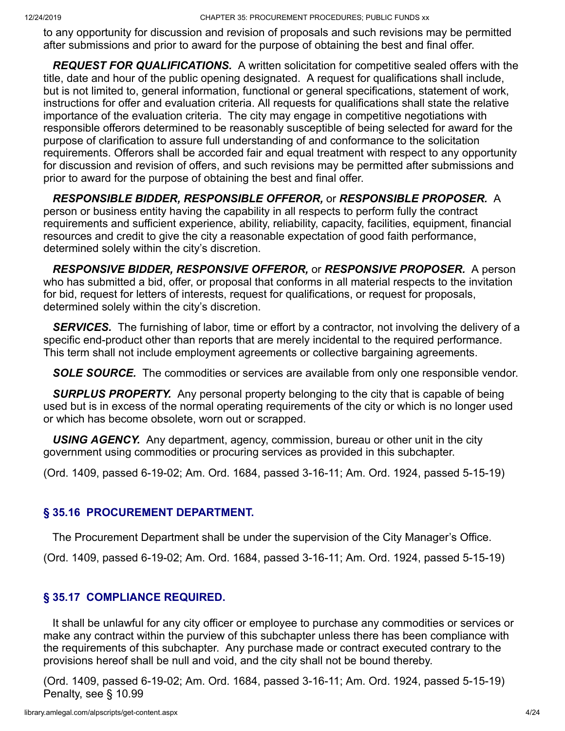to any opportunity for discussion and revision of proposals and such revisions may be permitted after submissions and prior to award for the purpose of obtaining the best and final offer.

 *REQUEST FOR QUALIFICATIONS.* A written solicitation for competitive sealed offers with the title, date and hour of the public opening designated. A request for qualifications shall include, but is not limited to, general information, functional or general specifications, statement of work, instructions for offer and evaluation criteria. All requests for qualifications shall state the relative importance of the evaluation criteria. The city may engage in competitive negotiations with responsible offerors determined to be reasonably susceptible of being selected for award for the purpose of clarification to assure full understanding of and conformance to the solicitation requirements. Offerors shall be accorded fair and equal treatment with respect to any opportunity for discussion and revision of offers, and such revisions may be permitted after submissions and prior to award for the purpose of obtaining the best and final offer.

 *RESPONSIBLE BIDDER, RESPONSIBLE OFFEROR,* or *RESPONSIBLE PROPOSER.* A person or business entity having the capability in all respects to perform fully the contract requirements and sufficient experience, ability, reliability, capacity, facilities, equipment, financial resources and credit to give the city a reasonable expectation of good faith performance, determined solely within the city's discretion.

 *RESPONSIVE BIDDER, RESPONSIVE OFFEROR,* or *RESPONSIVE PROPOSER.* A person who has submitted a bid, offer, or proposal that conforms in all material respects to the invitation for bid, request for letters of interests, request for qualifications, or request for proposals, determined solely within the city's discretion.

 *SERVICES.* The furnishing of labor, time or effort by a contractor, not involving the delivery of a specific end-product other than reports that are merely incidental to the required performance. This term shall not include employment agreements or collective bargaining agreements.

**SOLE SOURCE.** The commodities or services are available from only one responsible vendor.

 *SURPLUS PROPERTY.* Any personal property belonging to the city that is capable of being used but is in excess of the normal operating requirements of the city or which is no longer used or which has become obsolete, worn out or scrapped.

 *USING AGENCY.* Any department, agency, commission, bureau or other unit in the city government using commodities or procuring services as provided in this subchapter.

(Ord. 1409, passed 6-19-02; Am. Ord. 1684, passed 3-16-11; Am. Ord. 1924, passed 5-15-19)

#### **§ 35.16 PROCUREMENT DEPARTMENT.**

The Procurement Department shall be under the supervision of the City Manager's Office.

(Ord. 1409, passed 6-19-02; Am. Ord. 1684, passed 3-16-11; Am. Ord. 1924, passed 5-15-19)

### **§ 35.17 COMPLIANCE REQUIRED.**

 It shall be unlawful for any city officer or employee to purchase any commodities or services or make any contract within the purview of this subchapter unless there has been compliance with the requirements of this subchapter. Any purchase made or contract executed contrary to the provisions hereof shall be null and void, and the city shall not be bound thereby.

(Ord. 1409, passed 6-19-02; Am. Ord. 1684, passed 3-16-11; Am. Ord. 1924, passed 5-15-19) Penalty, see § 10.99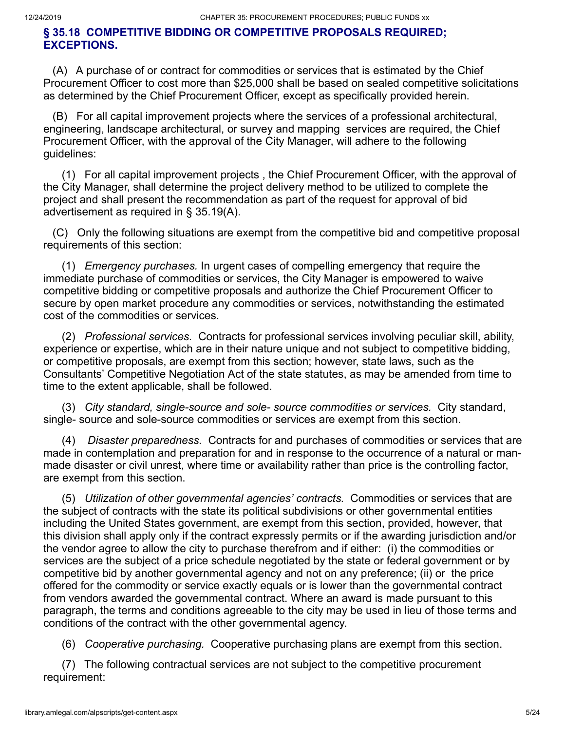#### **§ 35.18 COMPETITIVE BIDDING OR COMPETITIVE PROPOSALS REQUIRED; EXCEPTIONS.**

 (A) A purchase of or contract for commodities or services that is estimated by the Chief Procurement Officer to cost more than \$25,000 shall be based on sealed competitive solicitations as determined by the Chief Procurement Officer, except as specifically provided herein.

 (B) For all capital improvement projects where the services of a professional architectural, engineering, landscape architectural, or survey and mapping services are required, the Chief Procurement Officer, with the approval of the City Manager, will adhere to the following guidelines:

 (1) For all capital improvement projects , the Chief Procurement Officer, with the approval of the City Manager, shall determine the project delivery method to be utilized to complete the project and shall present the recommendation as part of the request for approval of bid advertisement as required in § 35.19(A).

 (C) Only the following situations are exempt from the competitive bid and competitive proposal requirements of this section:

 (1) *Emergency purchases.* In urgent cases of compelling emergency that require the immediate purchase of commodities or services, the City Manager is empowered to waive competitive bidding or competitive proposals and authorize the Chief Procurement Officer to secure by open market procedure any commodities or services, notwithstanding the estimated cost of the commodities or services.

 (2) *Professional services.* Contracts for professional services involving peculiar skill, ability, experience or expertise, which are in their nature unique and not subject to competitive bidding, or competitive proposals, are exempt from this section; however, state laws, such as the Consultants' Competitive Negotiation Act of the state statutes, as may be amended from time to time to the extent applicable, shall be followed.

 (3) *City standard, single-source and sole- source commodities or services.* City standard, single- source and sole-source commodities or services are exempt from this section.

 (4) *Disaster preparedness.* Contracts for and purchases of commodities or services that are made in contemplation and preparation for and in response to the occurrence of a natural or manmade disaster or civil unrest, where time or availability rather than price is the controlling factor, are exempt from this section.

 (5) *Utilization of other governmental agencies' contracts.* Commodities or services that are the subject of contracts with the state its political subdivisions or other governmental entities including the United States government, are exempt from this section, provided, however, that this division shall apply only if the contract expressly permits or if the awarding jurisdiction and/or the vendor agree to allow the city to purchase therefrom and if either: (i) the commodities or services are the subject of a price schedule negotiated by the state or federal government or by competitive bid by another governmental agency and not on any preference; (ii) or the price offered for the commodity or service exactly equals or is lower than the governmental contract from vendors awarded the governmental contract. Where an award is made pursuant to this paragraph, the terms and conditions agreeable to the city may be used in lieu of those terms and conditions of the contract with the other governmental agency.

(6) *Cooperative purchasing.* Cooperative purchasing plans are exempt from this section.

 (7) The following contractual services are not subject to the competitive procurement requirement: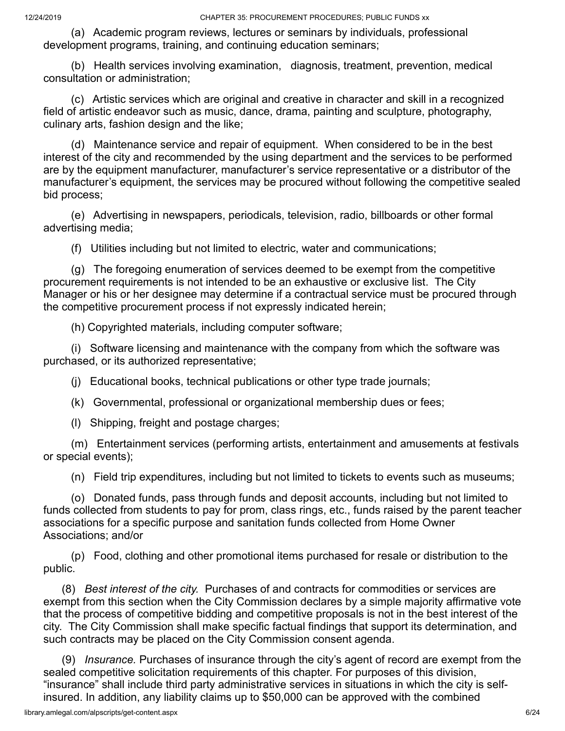(a) Academic program reviews, lectures or seminars by individuals, professional development programs, training, and continuing education seminars;

 (b) Health services involving examination, diagnosis, treatment, prevention, medical consultation or administration;

 (c) Artistic services which are original and creative in character and skill in a recognized field of artistic endeavor such as music, dance, drama, painting and sculpture, photography, culinary arts, fashion design and the like;

 (d) Maintenance service and repair of equipment. When considered to be in the best interest of the city and recommended by the using department and the services to be performed are by the equipment manufacturer, manufacturer's service representative or a distributor of the manufacturer's equipment, the services may be procured without following the competitive sealed bid process;

 (e) Advertising in newspapers, periodicals, television, radio, billboards or other formal advertising media;

(f) Utilities including but not limited to electric, water and communications;

 (g) The foregoing enumeration of services deemed to be exempt from the competitive procurement requirements is not intended to be an exhaustive or exclusive list. The City Manager or his or her designee may determine if a contractual service must be procured through the competitive procurement process if not expressly indicated herein;

(h) Copyrighted materials, including computer software;

 (i) Software licensing and maintenance with the company from which the software was purchased, or its authorized representative;

(j) Educational books, technical publications or other type trade journals;

(k) Governmental, professional or organizational membership dues or fees;

(l) Shipping, freight and postage charges;

 (m) Entertainment services (performing artists, entertainment and amusements at festivals or special events);

(n) Field trip expenditures, including but not limited to tickets to events such as museums;

 (o) Donated funds, pass through funds and deposit accounts, including but not limited to funds collected from students to pay for prom, class rings, etc., funds raised by the parent teacher associations for a specific purpose and sanitation funds collected from Home Owner Associations; and/or

 (p) Food, clothing and other promotional items purchased for resale or distribution to the public.

 (8) *Best interest of the city.* Purchases of and contracts for commodities or services are exempt from this section when the City Commission declares by a simple majority affirmative vote that the process of competitive bidding and competitive proposals is not in the best interest of the city. The City Commission shall make specific factual findings that support its determination, and such contracts may be placed on the City Commission consent agenda.

 (9) *Insurance.* Purchases of insurance through the city's agent of record are exempt from the sealed competitive solicitation requirements of this chapter. For purposes of this division, "insurance" shall include third party administrative services in situations in which the city is selfinsured. In addition, any liability claims up to \$50,000 can be approved with the combined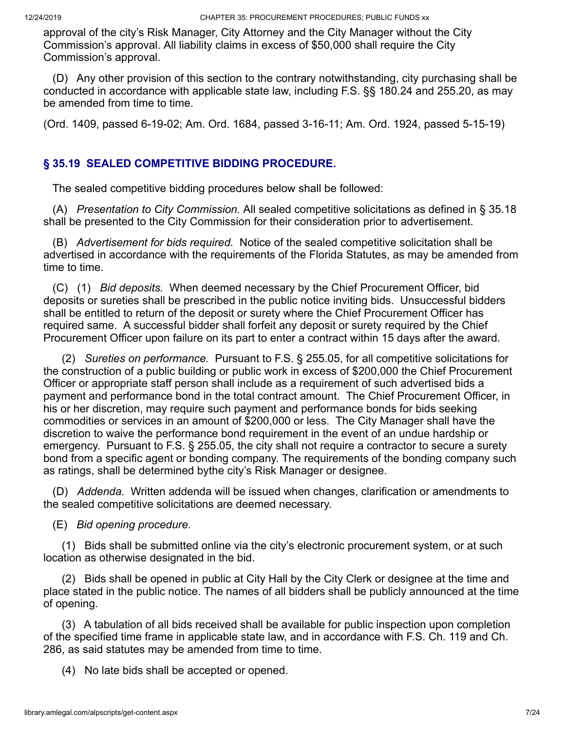approval of the city's Risk Manager, City Attorney and the City Manager without the City Commission's approval. All liability claims in excess of \$50,000 shall require the City Commission's approval.

 (D) Any other provision of this section to the contrary notwithstanding, city purchasing shall be conducted in accordance with applicable state law, including F.S. §§ 180.24 and 255.20, as may be amended from time to time.

(Ord. 1409, passed 6-19-02; Am. Ord. 1684, passed 3-16-11; Am. Ord. 1924, passed 5-15-19)

# **§ 35.19 SEALED COMPETITIVE BIDDING PROCEDURE.**

The sealed competitive bidding procedures below shall be followed:

 (A) *Presentation to City Commission.* All sealed competitive solicitations as defined in § 35.18 shall be presented to the City Commission for their consideration prior to advertisement.

 (B) *Advertisement for bids required.* Notice of the sealed competitive solicitation shall be advertised in accordance with the requirements of the Florida Statutes, as may be amended from time to time.

 (C) (1) *Bid deposits.* When deemed necessary by the Chief Procurement Officer, bid deposits or sureties shall be prescribed in the public notice inviting bids. Unsuccessful bidders shall be entitled to return of the deposit or surety where the Chief Procurement Officer has required same. A successful bidder shall forfeit any deposit or surety required by the Chief Procurement Officer upon failure on its part to enter a contract within 15 days after the award.

 (2) *Sureties on performance.* Pursuant to F.S. § 255.05, for all competitive solicitations for the construction of a public building or public work in excess of \$200,000 the Chief Procurement Officer or appropriate staff person shall include as a requirement of such advertised bids a payment and performance bond in the total contract amount. The Chief Procurement Officer, in his or her discretion, may require such payment and performance bonds for bids seeking commodities or services in an amount of \$200,000 or less. The City Manager shall have the discretion to waive the performance bond requirement in the event of an undue hardship or emergency. Pursuant to F.S. § 255.05, the city shall not require a contractor to secure a surety bond from a specific agent or bonding company. The requirements of the bonding company such as ratings, shall be determined bythe city's Risk Manager or designee.

 (D) *Addenda.* Written addenda will be issued when changes, clarification or amendments to the sealed competitive solicitations are deemed necessary.

(E) *Bid opening procedure.*

 (1) Bids shall be submitted online via the city's electronic procurement system, or at such location as otherwise designated in the bid.

 (2) Bids shall be opened in public at City Hall by the City Clerk or designee at the time and place stated in the public notice. The names of all bidders shall be publicly announced at the time of opening.

 (3) A tabulation of all bids received shall be available for public inspection upon completion of the specified time frame in applicable state law, and in accordance with F.S. Ch. 119 and Ch. 286, as said statutes may be amended from time to time.

(4) No late bids shall be accepted or opened.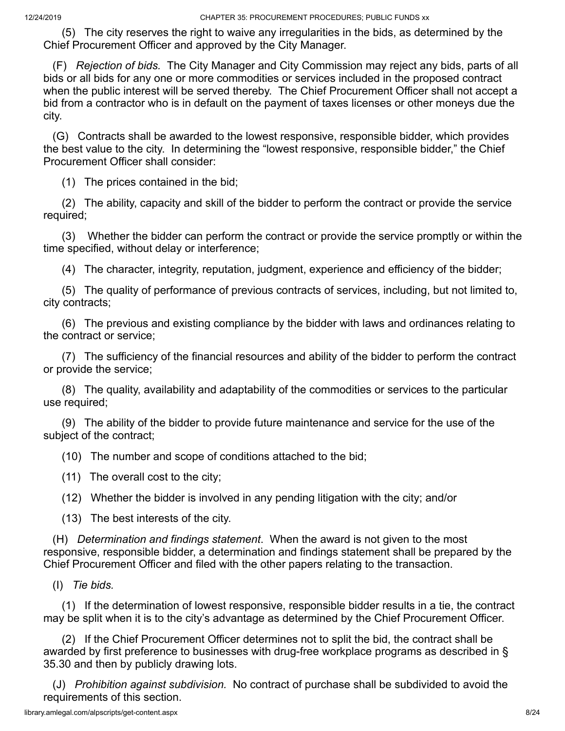(5) The city reserves the right to waive any irregularities in the bids, as determined by the Chief Procurement Officer and approved by the City Manager.

 (F) *Rejection of bids.* The City Manager and City Commission may reject any bids, parts of all bids or all bids for any one or more commodities or services included in the proposed contract when the public interest will be served thereby. The Chief Procurement Officer shall not accept a bid from a contractor who is in default on the payment of taxes licenses or other moneys due the city.

 (G) Contracts shall be awarded to the lowest responsive, responsible bidder, which provides the best value to the city. In determining the "lowest responsive, responsible bidder," the Chief Procurement Officer shall consider:

(1) The prices contained in the bid;

 (2) The ability, capacity and skill of the bidder to perform the contract or provide the service required;

 (3) Whether the bidder can perform the contract or provide the service promptly or within the time specified, without delay or interference;

(4) The character, integrity, reputation, judgment, experience and efficiency of the bidder;

 (5) The quality of performance of previous contracts of services, including, but not limited to, city contracts;

 (6) The previous and existing compliance by the bidder with laws and ordinances relating to the contract or service;

 (7) The sufficiency of the financial resources and ability of the bidder to perform the contract or provide the service;

 (8) The quality, availability and adaptability of the commodities or services to the particular use required;

 (9) The ability of the bidder to provide future maintenance and service for the use of the subject of the contract;

(10) The number and scope of conditions attached to the bid;

(11) The overall cost to the city;

(12) Whether the bidder is involved in any pending litigation with the city; and/or

(13) The best interests of the city.

 (H) *Determination and findings statement*. When the award is not given to the most responsive, responsible bidder, a determination and findings statement shall be prepared by the Chief Procurement Officer and filed with the other papers relating to the transaction.

(I) *Tie bids.*

 (1) If the determination of lowest responsive, responsible bidder results in a tie, the contract may be split when it is to the city's advantage as determined by the Chief Procurement Officer.

 (2) If the Chief Procurement Officer determines not to split the bid, the contract shall be awarded by first preference to businesses with drug-free workplace programs as described in § 35.30 and then by publicly drawing lots.

 (J) *Prohibition against subdivision.* No contract of purchase shall be subdivided to avoid the requirements of this section.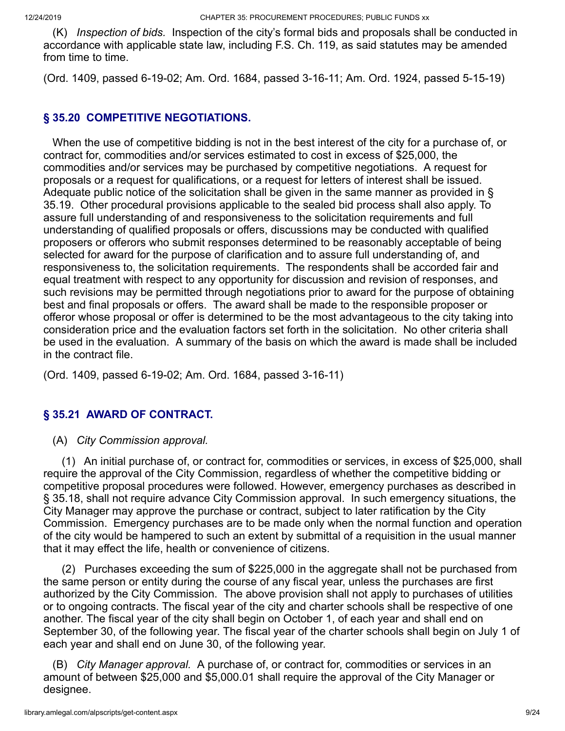(K) *Inspection of bids.* Inspection of the city's formal bids and proposals shall be conducted in accordance with applicable state law, including F.S. Ch. 119, as said statutes may be amended from time to time.

(Ord. 1409, passed 6-19-02; Am. Ord. 1684, passed 3-16-11; Am. Ord. 1924, passed 5-15-19)

# **§ 35.20 COMPETITIVE NEGOTIATIONS.**

 When the use of competitive bidding is not in the best interest of the city for a purchase of, or contract for, commodities and/or services estimated to cost in excess of \$25,000, the commodities and/or services may be purchased by competitive negotiations. A request for proposals or a request for qualifications, or a request for letters of interest shall be issued. Adequate public notice of the solicitation shall be given in the same manner as provided in § 35.19. Other procedural provisions applicable to the sealed bid process shall also apply. To assure full understanding of and responsiveness to the solicitation requirements and full understanding of qualified proposals or offers, discussions may be conducted with qualified proposers or offerors who submit responses determined to be reasonably acceptable of being selected for award for the purpose of clarification and to assure full understanding of, and responsiveness to, the solicitation requirements. The respondents shall be accorded fair and equal treatment with respect to any opportunity for discussion and revision of responses, and such revisions may be permitted through negotiations prior to award for the purpose of obtaining best and final proposals or offers. The award shall be made to the responsible proposer or offeror whose proposal or offer is determined to be the most advantageous to the city taking into consideration price and the evaluation factors set forth in the solicitation. No other criteria shall be used in the evaluation. A summary of the basis on which the award is made shall be included in the contract file.

(Ord. 1409, passed 6-19-02; Am. Ord. 1684, passed 3-16-11)

# **§ 35.21 AWARD OF CONTRACT.**

(A) *City Commission approval.*

 (1) An initial purchase of, or contract for, commodities or services, in excess of \$25,000, shall require the approval of the City Commission, regardless of whether the competitive bidding or competitive proposal procedures were followed. However, emergency purchases as described in § 35.18, shall not require advance City Commission approval. In such emergency situations, the City Manager may approve the purchase or contract, subject to later ratification by the City Commission. Emergency purchases are to be made only when the normal function and operation of the city would be hampered to such an extent by submittal of a requisition in the usual manner that it may effect the life, health or convenience of citizens.

 (2) Purchases exceeding the sum of \$225,000 in the aggregate shall not be purchased from the same person or entity during the course of any fiscal year, unless the purchases are first authorized by the City Commission. The above provision shall not apply to purchases of utilities or to ongoing contracts. The fiscal year of the city and charter schools shall be respective of one another. The fiscal year of the city shall begin on October 1, of each year and shall end on September 30, of the following year. The fiscal year of the charter schools shall begin on July 1 of each year and shall end on June 30, of the following year.

 (B) *City Manager approval.* A purchase of, or contract for, commodities or services in an amount of between \$25,000 and \$5,000.01 shall require the approval of the City Manager or designee.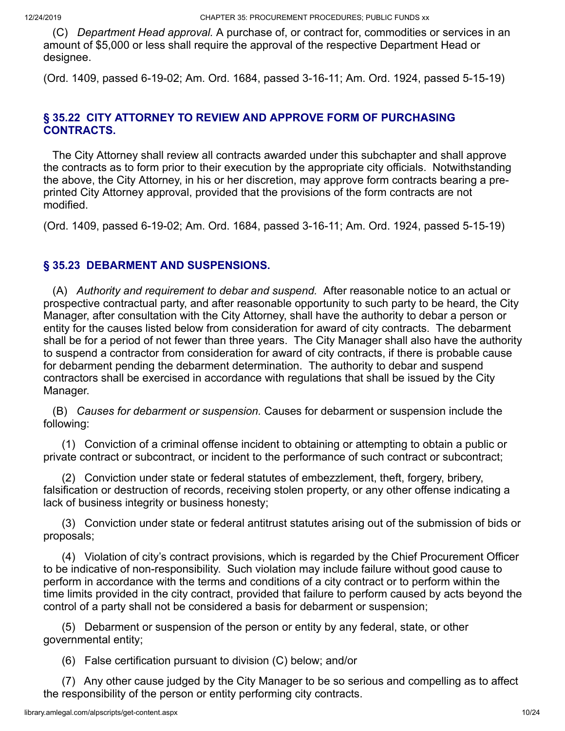(C) *Department Head approval.* A purchase of, or contract for, commodities or services in an amount of \$5,000 or less shall require the approval of the respective Department Head or designee.

(Ord. 1409, passed 6-19-02; Am. Ord. 1684, passed 3-16-11; Am. Ord. 1924, passed 5-15-19)

### **§ 35.22 CITY ATTORNEY TO REVIEW AND APPROVE FORM OF PURCHASING CONTRACTS.**

 The City Attorney shall review all contracts awarded under this subchapter and shall approve the contracts as to form prior to their execution by the appropriate city officials. Notwithstanding the above, the City Attorney, in his or her discretion, may approve form contracts bearing a preprinted City Attorney approval, provided that the provisions of the form contracts are not modified.

(Ord. 1409, passed 6-19-02; Am. Ord. 1684, passed 3-16-11; Am. Ord. 1924, passed 5-15-19)

# **§ 35.23 DEBARMENT AND SUSPENSIONS.**

 (A) *Authority and requirement to debar and suspend.* After reasonable notice to an actual or prospective contractual party, and after reasonable opportunity to such party to be heard, the City Manager, after consultation with the City Attorney, shall have the authority to debar a person or entity for the causes listed below from consideration for award of city contracts. The debarment shall be for a period of not fewer than three years. The City Manager shall also have the authority to suspend a contractor from consideration for award of city contracts, if there is probable cause for debarment pending the debarment determination. The authority to debar and suspend contractors shall be exercised in accordance with regulations that shall be issued by the City Manager.

 (B) *Causes for debarment or suspension.* Causes for debarment or suspension include the following:

 (1) Conviction of a criminal offense incident to obtaining or attempting to obtain a public or private contract or subcontract, or incident to the performance of such contract or subcontract;

 (2) Conviction under state or federal statutes of embezzlement, theft, forgery, bribery, falsification or destruction of records, receiving stolen property, or any other offense indicating a lack of business integrity or business honesty;

 (3) Conviction under state or federal antitrust statutes arising out of the submission of bids or proposals;

 (4) Violation of city's contract provisions, which is regarded by the Chief Procurement Officer to be indicative of non-responsibility. Such violation may include failure without good cause to perform in accordance with the terms and conditions of a city contract or to perform within the time limits provided in the city contract, provided that failure to perform caused by acts beyond the control of a party shall not be considered a basis for debarment or suspension;

 (5) Debarment or suspension of the person or entity by any federal, state, or other governmental entity;

(6) False certification pursuant to division (C) below; and/or

 (7) Any other cause judged by the City Manager to be so serious and compelling as to affect the responsibility of the person or entity performing city contracts.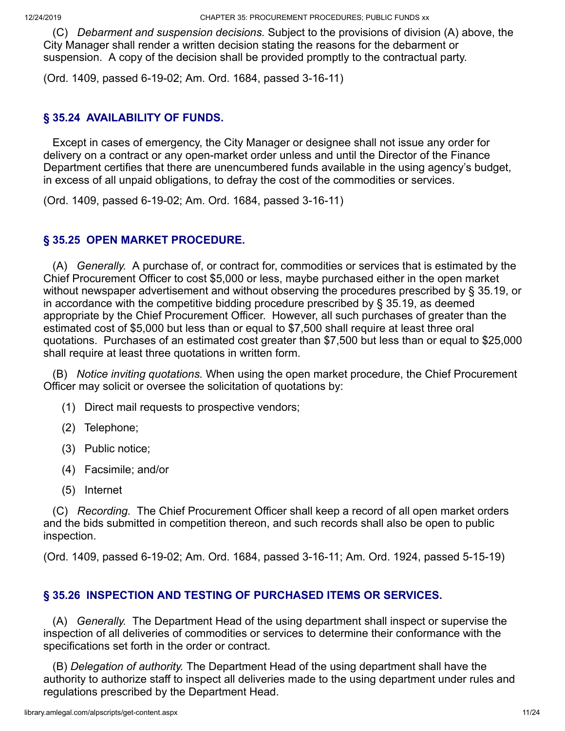(C) *Debarment and suspension decisions.* Subject to the provisions of division (A) above, the City Manager shall render a written decision stating the reasons for the debarment or suspension. A copy of the decision shall be provided promptly to the contractual party.

(Ord. 1409, passed 6-19-02; Am. Ord. 1684, passed 3-16-11)

# **§ 35.24 AVAILABILITY OF FUNDS.**

 Except in cases of emergency, the City Manager or designee shall not issue any order for delivery on a contract or any open-market order unless and until the Director of the Finance Department certifies that there are unencumbered funds available in the using agency's budget, in excess of all unpaid obligations, to defray the cost of the commodities or services.

(Ord. 1409, passed 6-19-02; Am. Ord. 1684, passed 3-16-11)

# **§ 35.25 OPEN MARKET PROCEDURE.**

 (A) *Generally.* A purchase of, or contract for, commodities or services that is estimated by the Chief Procurement Officer to cost \$5,000 or less, maybe purchased either in the open market without newspaper advertisement and without observing the procedures prescribed by § 35.19, or in accordance with the competitive bidding procedure prescribed by § 35.19, as deemed appropriate by the Chief Procurement Officer. However, all such purchases of greater than the estimated cost of \$5,000 but less than or equal to \$7,500 shall require at least three oral quotations. Purchases of an estimated cost greater than \$7,500 but less than or equal to \$25,000 shall require at least three quotations in written form.

 (B) *Notice inviting quotations.* When using the open market procedure, the Chief Procurement Officer may solicit or oversee the solicitation of quotations by:

- (1) Direct mail requests to prospective vendors;
- (2) Telephone;
- (3) Public notice;
- (4) Facsimile; and/or
- (5) Internet

 (C) *Recording.* The Chief Procurement Officer shall keep a record of all open market orders and the bids submitted in competition thereon, and such records shall also be open to public inspection.

(Ord. 1409, passed 6-19-02; Am. Ord. 1684, passed 3-16-11; Am. Ord. 1924, passed 5-15-19)

# **§ 35.26 INSPECTION AND TESTING OF PURCHASED ITEMS OR SERVICES.**

 (A) *Generally.* The Department Head of the using department shall inspect or supervise the inspection of all deliveries of commodities or services to determine their conformance with the specifications set forth in the order or contract.

 (B) *Delegation of authority.* The Department Head of the using department shall have the authority to authorize staff to inspect all deliveries made to the using department under rules and regulations prescribed by the Department Head.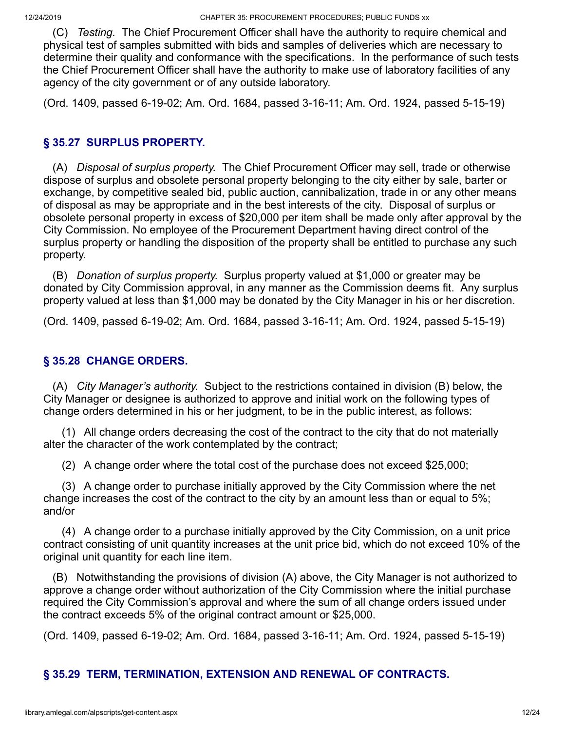(C) *Testing.* The Chief Procurement Officer shall have the authority to require chemical and physical test of samples submitted with bids and samples of deliveries which are necessary to determine their quality and conformance with the specifications. In the performance of such tests the Chief Procurement Officer shall have the authority to make use of laboratory facilities of any agency of the city government or of any outside laboratory.

(Ord. 1409, passed 6-19-02; Am. Ord. 1684, passed 3-16-11; Am. Ord. 1924, passed 5-15-19)

# **§ 35.27 SURPLUS PROPERTY.**

 (A) *Disposal of surplus property.* The Chief Procurement Officer may sell, trade or otherwise dispose of surplus and obsolete personal property belonging to the city either by sale, barter or exchange, by competitive sealed bid, public auction, cannibalization, trade in or any other means of disposal as may be appropriate and in the best interests of the city. Disposal of surplus or obsolete personal property in excess of \$20,000 per item shall be made only after approval by the City Commission. No employee of the Procurement Department having direct control of the surplus property or handling the disposition of the property shall be entitled to purchase any such property.

 (B) *Donation of surplus property.* Surplus property valued at \$1,000 or greater may be donated by City Commission approval, in any manner as the Commission deems fit. Any surplus property valued at less than \$1,000 may be donated by the City Manager in his or her discretion.

(Ord. 1409, passed 6-19-02; Am. Ord. 1684, passed 3-16-11; Am. Ord. 1924, passed 5-15-19)

# **§ 35.28 CHANGE ORDERS.**

 (A) *City Manager's authority.* Subject to the restrictions contained in division (B) below, the City Manager or designee is authorized to approve and initial work on the following types of change orders determined in his or her judgment, to be in the public interest, as follows:

 (1) All change orders decreasing the cost of the contract to the city that do not materially alter the character of the work contemplated by the contract;

(2) A change order where the total cost of the purchase does not exceed \$25,000;

 (3) A change order to purchase initially approved by the City Commission where the net change increases the cost of the contract to the city by an amount less than or equal to 5%; and/or

 (4) A change order to a purchase initially approved by the City Commission, on a unit price contract consisting of unit quantity increases at the unit price bid, which do not exceed 10% of the original unit quantity for each line item.

 (B) Notwithstanding the provisions of division (A) above, the City Manager is not authorized to approve a change order without authorization of the City Commission where the initial purchase required the City Commission's approval and where the sum of all change orders issued under the contract exceeds 5% of the original contract amount or \$25,000.

(Ord. 1409, passed 6-19-02; Am. Ord. 1684, passed 3-16-11; Am. Ord. 1924, passed 5-15-19)

# **§ 35.29 TERM, TERMINATION, EXTENSION AND RENEWAL OF CONTRACTS.**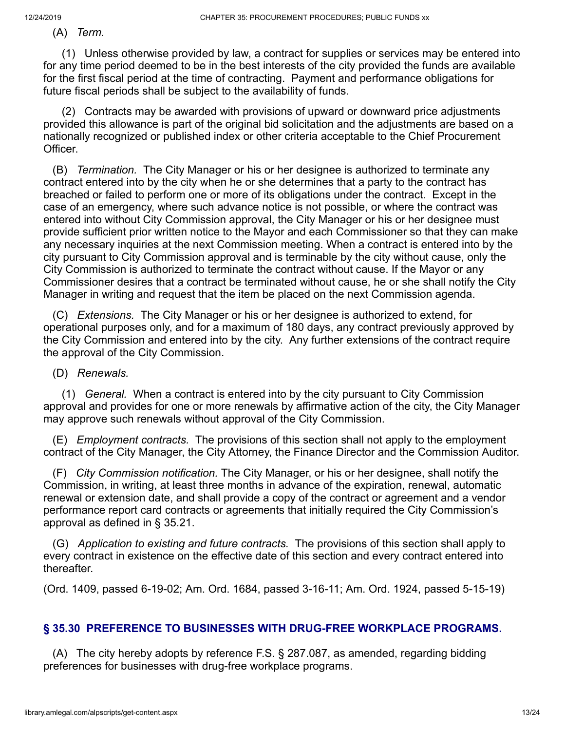(A) *Term.*

 (1) Unless otherwise provided by law, a contract for supplies or services may be entered into for any time period deemed to be in the best interests of the city provided the funds are available for the first fiscal period at the time of contracting. Payment and performance obligations for future fiscal periods shall be subject to the availability of funds.

 (2) Contracts may be awarded with provisions of upward or downward price adjustments provided this allowance is part of the original bid solicitation and the adjustments are based on a nationally recognized or published index or other criteria acceptable to the Chief Procurement Officer.

 (B) *Termination.* The City Manager or his or her designee is authorized to terminate any contract entered into by the city when he or she determines that a party to the contract has breached or failed to perform one or more of its obligations under the contract. Except in the case of an emergency, where such advance notice is not possible, or where the contract was entered into without City Commission approval, the City Manager or his or her designee must provide sufficient prior written notice to the Mayor and each Commissioner so that they can make any necessary inquiries at the next Commission meeting. When a contract is entered into by the city pursuant to City Commission approval and is terminable by the city without cause, only the City Commission is authorized to terminate the contract without cause. If the Mayor or any Commissioner desires that a contract be terminated without cause, he or she shall notify the City Manager in writing and request that the item be placed on the next Commission agenda.

 (C) *Extensions.* The City Manager or his or her designee is authorized to extend, for operational purposes only, and for a maximum of 180 days, any contract previously approved by the City Commission and entered into by the city. Any further extensions of the contract require the approval of the City Commission.

(D) *Renewals.*

 (1) *General.* When a contract is entered into by the city pursuant to City Commission approval and provides for one or more renewals by affirmative action of the city, the City Manager may approve such renewals without approval of the City Commission.

 (E) *Employment contracts.* The provisions of this section shall not apply to the employment contract of the City Manager, the City Attorney, the Finance Director and the Commission Auditor.

 (F) *City Commission notification.* The City Manager, or his or her designee, shall notify the Commission, in writing, at least three months in advance of the expiration, renewal, automatic renewal or extension date, and shall provide a copy of the contract or agreement and a vendor performance report card contracts or agreements that initially required the City Commission's approval as defined in § 35.21.

 (G) *Application to existing and future contracts.* The provisions of this section shall apply to every contract in existence on the effective date of this section and every contract entered into thereafter.

(Ord. 1409, passed 6-19-02; Am. Ord. 1684, passed 3-16-11; Am. Ord. 1924, passed 5-15-19)

### **§ 35.30 PREFERENCE TO BUSINESSES WITH DRUG-FREE WORKPLACE PROGRAMS.**

 (A) The city hereby adopts by reference F.S. § 287.087, as amended, regarding bidding preferences for businesses with drug-free workplace programs.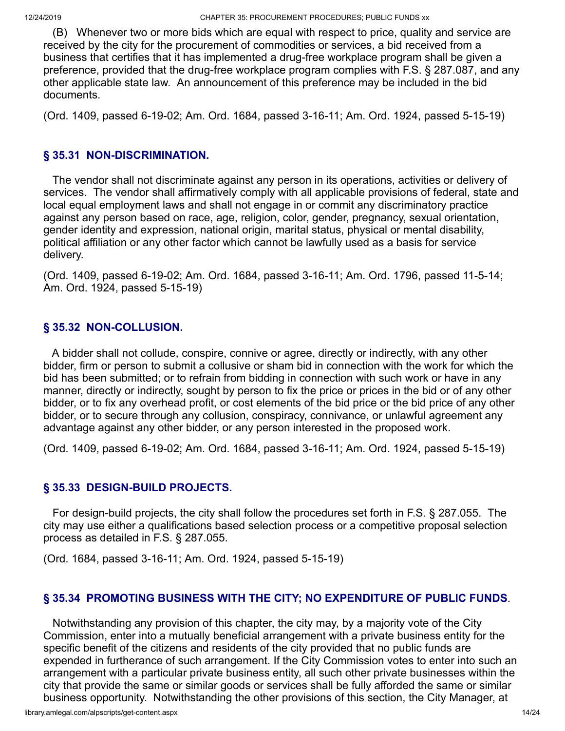(B) Whenever two or more bids which are equal with respect to price, quality and service are received by the city for the procurement of commodities or services, a bid received from a business that certifies that it has implemented a drug-free workplace program shall be given a preference, provided that the drug-free workplace program complies with F.S. § 287.087, and any other applicable state law. An announcement of this preference may be included in the bid documents.

(Ord. 1409, passed 6-19-02; Am. Ord. 1684, passed 3-16-11; Am. Ord. 1924, passed 5-15-19)

# **§ 35.31 NON-DISCRIMINATION.**

 The vendor shall not discriminate against any person in its operations, activities or delivery of services. The vendor shall affirmatively comply with all applicable provisions of federal, state and local equal employment laws and shall not engage in or commit any discriminatory practice against any person based on race, age, religion, color, gender, pregnancy, sexual orientation, gender identity and expression, national origin, marital status, physical or mental disability, political affiliation or any other factor which cannot be lawfully used as a basis for service delivery.

(Ord. 1409, passed 6-19-02; Am. Ord. 1684, passed 3-16-11; Am. Ord. 1796, passed 11-5-14; Am. Ord. 1924, passed 5-15-19)

# **§ 35.32 NON-COLLUSION.**

 A bidder shall not collude, conspire, connive or agree, directly or indirectly, with any other bidder, firm or person to submit a collusive or sham bid in connection with the work for which the bid has been submitted; or to refrain from bidding in connection with such work or have in any manner, directly or indirectly, sought by person to fix the price or prices in the bid or of any other bidder, or to fix any overhead profit, or cost elements of the bid price or the bid price of any other bidder, or to secure through any collusion, conspiracy, connivance, or unlawful agreement any advantage against any other bidder, or any person interested in the proposed work.

(Ord. 1409, passed 6-19-02; Am. Ord. 1684, passed 3-16-11; Am. Ord. 1924, passed 5-15-19)

# **§ 35.33 DESIGN-BUILD PROJECTS.**

 For design-build projects, the city shall follow the procedures set forth in F.S. § 287.055. The city may use either a qualifications based selection process or a competitive proposal selection process as detailed in F.S. § 287.055.

(Ord. 1684, passed 3-16-11; Am. Ord. 1924, passed 5-15-19)

# **§ 35.34 PROMOTING BUSINESS WITH THE CITY; NO EXPENDITURE OF PUBLIC FUNDS**.

 Notwithstanding any provision of this chapter, the city may, by a majority vote of the City Commission, enter into a mutually beneficial arrangement with a private business entity for the specific benefit of the citizens and residents of the city provided that no public funds are expended in furtherance of such arrangement. If the City Commission votes to enter into such an arrangement with a particular private business entity, all such other private businesses within the city that provide the same or similar goods or services shall be fully afforded the same or similar business opportunity. Notwithstanding the other provisions of this section, the City Manager, at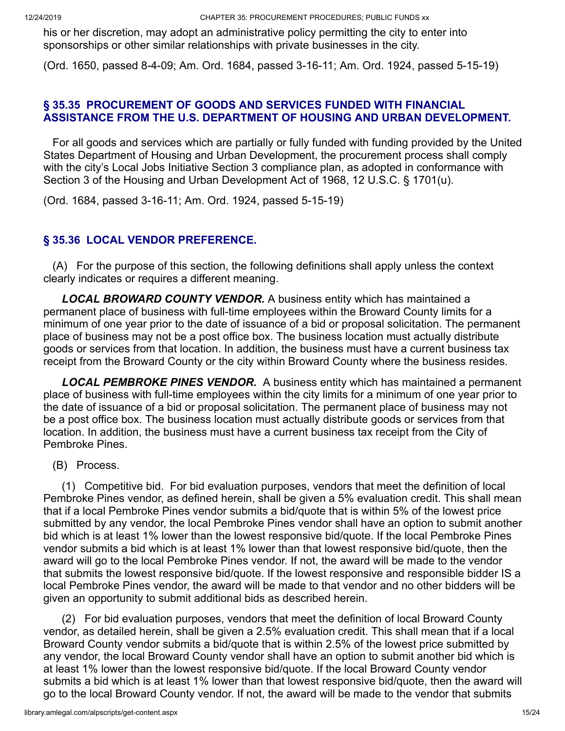his or her discretion, may adopt an administrative policy permitting the city to enter into sponsorships or other similar relationships with private businesses in the city.

(Ord. 1650, passed 8-4-09; Am. Ord. 1684, passed 3-16-11; Am. Ord. 1924, passed 5-15-19)

### **§ 35.35 PROCUREMENT OF GOODS AND SERVICES FUNDED WITH FINANCIAL ASSISTANCE FROM THE U.S. DEPARTMENT OF HOUSING AND URBAN DEVELOPMENT.**

 For all goods and services which are partially or fully funded with funding provided by the United States Department of Housing and Urban Development, the procurement process shall comply with the city's Local Jobs Initiative Section 3 compliance plan, as adopted in conformance with Section 3 of the Housing and Urban Development Act of 1968, 12 U.S.C. § 1701(u).

(Ord. 1684, passed 3-16-11; Am. Ord. 1924, passed 5-15-19)

# **§ 35.36 LOCAL VENDOR PREFERENCE.**

 (A) For the purpose of this section, the following definitions shall apply unless the context clearly indicates or requires a different meaning.

 *LOCAL BROWARD COUNTY VENDOR.* A business entity which has maintained a permanent place of business with full-time employees within the Broward County limits for a minimum of one year prior to the date of issuance of a bid or proposal solicitation. The permanent place of business may not be a post office box. The business location must actually distribute goods or services from that location. In addition, the business must have a current business tax receipt from the Broward County or the city within Broward County where the business resides.

 *LOCAL PEMBROKE PINES VENDOR.* A business entity which has maintained a permanent place of business with full-time employees within the city limits for a minimum of one year prior to the date of issuance of a bid or proposal solicitation. The permanent place of business may not be a post office box. The business location must actually distribute goods or services from that location. In addition, the business must have a current business tax receipt from the City of Pembroke Pines.

(B) Process.

 (1) Competitive bid. For bid evaluation purposes, vendors that meet the definition of local Pembroke Pines vendor, as defined herein, shall be given a 5% evaluation credit. This shall mean that if a local Pembroke Pines vendor submits a bid/quote that is within 5% of the lowest price submitted by any vendor, the local Pembroke Pines vendor shall have an option to submit another bid which is at least 1% lower than the lowest responsive bid/quote. If the local Pembroke Pines vendor submits a bid which is at least 1% lower than that lowest responsive bid/quote, then the award will go to the local Pembroke Pines vendor. If not, the award will be made to the vendor that submits the lowest responsive bid/quote. If the lowest responsive and responsible bidder IS a local Pembroke Pines vendor, the award will be made to that vendor and no other bidders will be given an opportunity to submit additional bids as described herein.

 (2) For bid evaluation purposes, vendors that meet the definition of local Broward County vendor, as detailed herein, shall be given a 2.5% evaluation credit. This shall mean that if a local Broward County vendor submits a bid/quote that is within 2.5% of the lowest price submitted by any vendor, the local Broward County vendor shall have an option to submit another bid which is at least 1% lower than the lowest responsive bid/quote. If the local Broward County vendor submits a bid which is at least 1% lower than that lowest responsive bid/quote, then the award will go to the local Broward County vendor. If not, the award will be made to the vendor that submits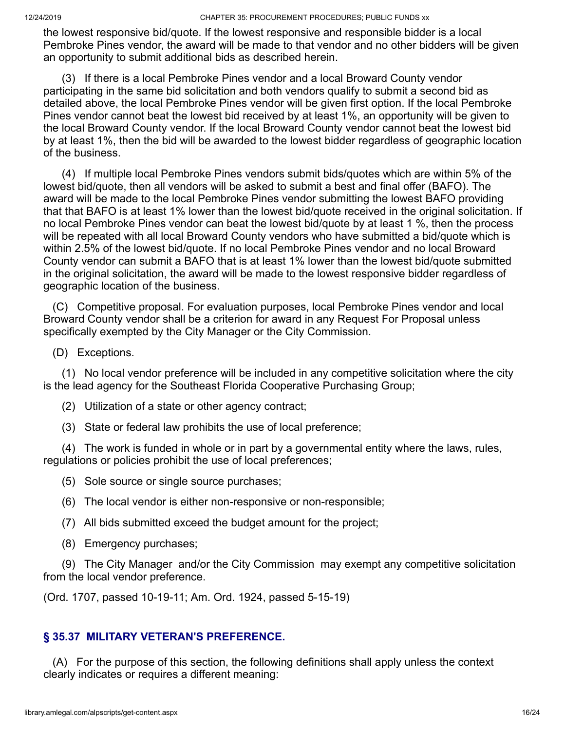the lowest responsive bid/quote. If the lowest responsive and responsible bidder is a local Pembroke Pines vendor, the award will be made to that vendor and no other bidders will be given an opportunity to submit additional bids as described herein.

 (3) If there is a local Pembroke Pines vendor and a local Broward County vendor participating in the same bid solicitation and both vendors qualify to submit a second bid as detailed above, the local Pembroke Pines vendor will be given first option. If the local Pembroke Pines vendor cannot beat the lowest bid received by at least 1%, an opportunity will be given to the local Broward County vendor. If the local Broward County vendor cannot beat the lowest bid by at least 1%, then the bid will be awarded to the lowest bidder regardless of geographic location of the business.

 (4) If multiple local Pembroke Pines vendors submit bids/quotes which are within 5% of the lowest bid/quote, then all vendors will be asked to submit a best and final offer (BAFO). The award will be made to the local Pembroke Pines vendor submitting the lowest BAFO providing that that BAFO is at least 1% lower than the lowest bid/quote received in the original solicitation. If no local Pembroke Pines vendor can beat the lowest bid/quote by at least 1 %, then the process will be repeated with all local Broward County vendors who have submitted a bid/quote which is within 2.5% of the lowest bid/quote. If no local Pembroke Pines vendor and no local Broward County vendor can submit a BAFO that is at least 1% lower than the lowest bid/quote submitted in the original solicitation, the award will be made to the lowest responsive bidder regardless of geographic location of the business.

 (C) Competitive proposal. For evaluation purposes, local Pembroke Pines vendor and local Broward County vendor shall be a criterion for award in any Request For Proposal unless specifically exempted by the City Manager or the City Commission.

(D) Exceptions.

 (1) No local vendor preference will be included in any competitive solicitation where the city is the lead agency for the Southeast Florida Cooperative Purchasing Group;

- (2) Utilization of a state or other agency contract;
- (3) State or federal law prohibits the use of local preference;

 (4) The work is funded in whole or in part by a governmental entity where the laws, rules, regulations or policies prohibit the use of local preferences;

(5) Sole source or single source purchases;

(6) The local vendor is either non-responsive or non-responsible;

(7) All bids submitted exceed the budget amount for the project;

(8) Emergency purchases;

 (9) The City Manager and/or the City Commission may exempt any competitive solicitation from the local vendor preference.

(Ord. 1707, passed 10-19-11; Am. Ord. 1924, passed 5-15-19)

#### **§ 35.37 MILITARY VETERAN'S PREFERENCE.**

 (A) For the purpose of this section, the following definitions shall apply unless the context clearly indicates or requires a different meaning: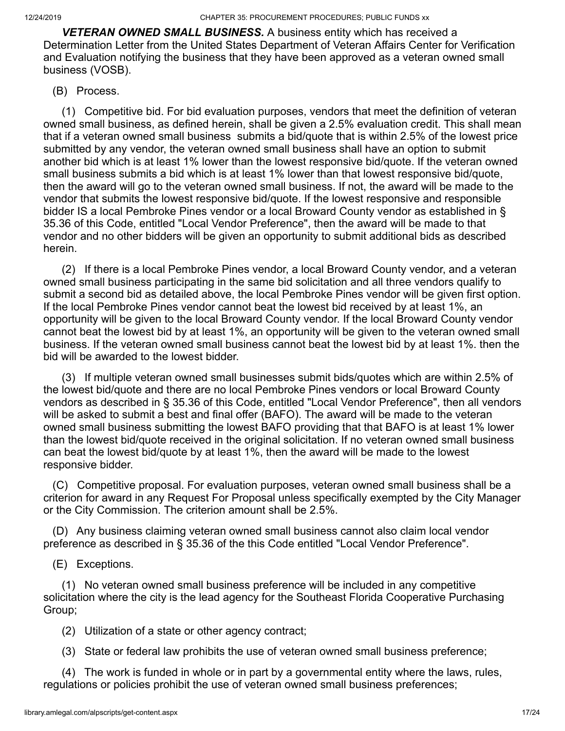*VETERAN OWNED SMALL BUSINESS.* A business entity which has received a Determination Letter from the United States Department of Veteran Affairs Center for Verification and Evaluation notifying the business that they have been approved as a veteran owned small business (VOSB).

### (B) Process.

 (1) Competitive bid. For bid evaluation purposes, vendors that meet the definition of veteran owned small business, as defined herein, shall be given a 2.5% evaluation credit. This shall mean that if a veteran owned small business submits a bid/quote that is within 2.5% of the lowest price submitted by any vendor, the veteran owned small business shall have an option to submit another bid which is at least 1% lower than the lowest responsive bid/quote. If the veteran owned small business submits a bid which is at least 1% lower than that lowest responsive bid/quote, then the award will go to the veteran owned small business. If not, the award will be made to the vendor that submits the lowest responsive bid/quote. If the lowest responsive and responsible bidder IS a local Pembroke Pines vendor or a local Broward County vendor as established in § 35.36 of this Code, entitled "Local Vendor Preference", then the award will be made to that vendor and no other bidders will be given an opportunity to submit additional bids as described herein.

 (2) If there is a local Pembroke Pines vendor, a local Broward County vendor, and a veteran owned small business participating in the same bid solicitation and all three vendors qualify to submit a second bid as detailed above, the local Pembroke Pines vendor will be given first option. If the local Pembroke Pines vendor cannot beat the lowest bid received by at least 1%, an opportunity will be given to the local Broward County vendor. If the local Broward County vendor cannot beat the lowest bid by at least 1%, an opportunity will be given to the veteran owned small business. If the veteran owned small business cannot beat the lowest bid by at least 1%. then the bid will be awarded to the lowest bidder.

 (3) If multiple veteran owned small businesses submit bids/quotes which are within 2.5% of the lowest bid/quote and there are no local Pembroke Pines vendors or local Broward County vendors as described in § 35.36 of this Code, entitled "Local Vendor Preference", then all vendors will be asked to submit a best and final offer (BAFO). The award will be made to the veteran owned small business submitting the lowest BAFO providing that that BAFO is at least 1% lower than the lowest bid/quote received in the original solicitation. If no veteran owned small business can beat the lowest bid/quote by at least 1%, then the award will be made to the lowest responsive bidder.

 (C) Competitive proposal. For evaluation purposes, veteran owned small business shall be a criterion for award in any Request For Proposal unless specifically exempted by the City Manager or the City Commission. The criterion amount shall be 2.5%.

 (D) Any business claiming veteran owned small business cannot also claim local vendor preference as described in § 35.36 of the this Code entitled "Local Vendor Preference".

(E) Exceptions.

 (1) No veteran owned small business preference will be included in any competitive solicitation where the city is the lead agency for the Southeast Florida Cooperative Purchasing Group;

(2) Utilization of a state or other agency contract;

(3) State or federal law prohibits the use of veteran owned small business preference;

 (4) The work is funded in whole or in part by a governmental entity where the laws, rules, regulations or policies prohibit the use of veteran owned small business preferences;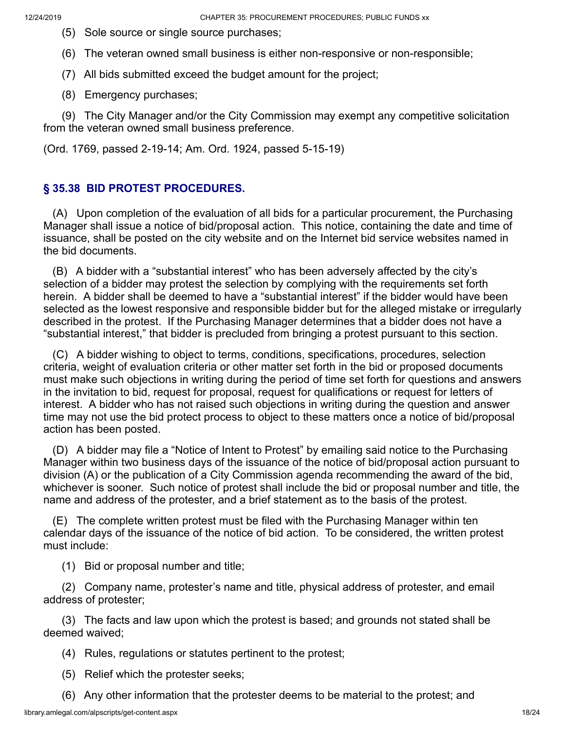- (5) Sole source or single source purchases;
- (6) The veteran owned small business is either non-responsive or non-responsible;
- (7) All bids submitted exceed the budget amount for the project;
- (8) Emergency purchases;

 (9) The City Manager and/or the City Commission may exempt any competitive solicitation from the veteran owned small business preference.

(Ord. 1769, passed 2-19-14; Am. Ord. 1924, passed 5-15-19)

# **§ 35.38 BID PROTEST PROCEDURES.**

 (A) Upon completion of the evaluation of all bids for a particular procurement, the Purchasing Manager shall issue a notice of bid/proposal action. This notice, containing the date and time of issuance, shall be posted on the city website and on the Internet bid service websites named in the bid documents.

 (B) A bidder with a "substantial interest" who has been adversely affected by the city's selection of a bidder may protest the selection by complying with the requirements set forth herein. A bidder shall be deemed to have a "substantial interest" if the bidder would have been selected as the lowest responsive and responsible bidder but for the alleged mistake or irregularly described in the protest. If the Purchasing Manager determines that a bidder does not have a "substantial interest," that bidder is precluded from bringing a protest pursuant to this section.

 (C) A bidder wishing to object to terms, conditions, specifications, procedures, selection criteria, weight of evaluation criteria or other matter set forth in the bid or proposed documents must make such objections in writing during the period of time set forth for questions and answers in the invitation to bid, request for proposal, request for qualifications or request for letters of interest. A bidder who has not raised such objections in writing during the question and answer time may not use the bid protect process to object to these matters once a notice of bid/proposal action has been posted.

 (D) A bidder may file a "Notice of Intent to Protest" by emailing said notice to the Purchasing Manager within two business days of the issuance of the notice of bid/proposal action pursuant to division (A) or the publication of a City Commission agenda recommending the award of the bid, whichever is sooner. Such notice of protest shall include the bid or proposal number and title, the name and address of the protester, and a brief statement as to the basis of the protest.

 (E) The complete written protest must be filed with the Purchasing Manager within ten calendar days of the issuance of the notice of bid action. To be considered, the written protest must include:

(1) Bid or proposal number and title;

 (2) Company name, protester's name and title, physical address of protester, and email address of protester;

 (3) The facts and law upon which the protest is based; and grounds not stated shall be deemed waived;

(4) Rules, regulations or statutes pertinent to the protest;

- (5) Relief which the protester seeks;
- (6) Any other information that the protester deems to be material to the protest; and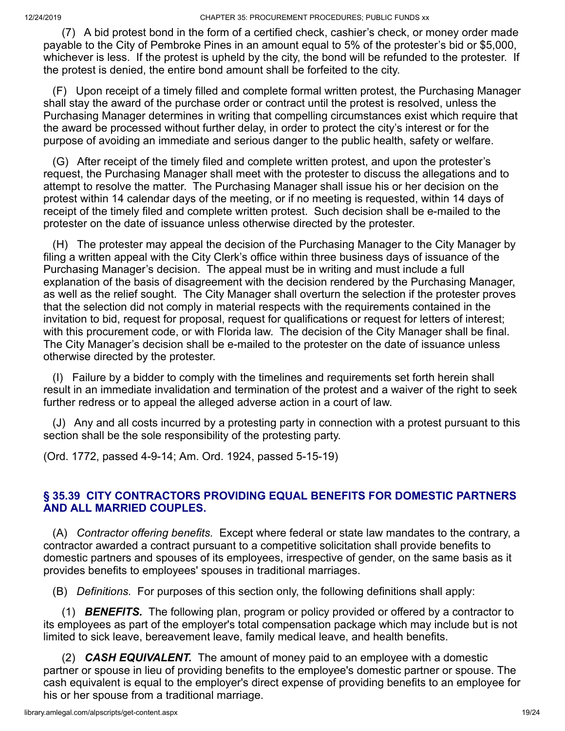12/24/2019 CHAPTER 35: PROCUREMENT PROCEDURES; PUBLIC FUNDS xx

 (7) A bid protest bond in the form of a certified check, cashier's check, or money order made payable to the City of Pembroke Pines in an amount equal to 5% of the protester's bid or \$5,000, whichever is less. If the protest is upheld by the city, the bond will be refunded to the protester. If the protest is denied, the entire bond amount shall be forfeited to the city.

 (F) Upon receipt of a timely filled and complete formal written protest, the Purchasing Manager shall stay the award of the purchase order or contract until the protest is resolved, unless the Purchasing Manager determines in writing that compelling circumstances exist which require that the award be processed without further delay, in order to protect the city's interest or for the purpose of avoiding an immediate and serious danger to the public health, safety or welfare.

 (G) After receipt of the timely filed and complete written protest, and upon the protester's request, the Purchasing Manager shall meet with the protester to discuss the allegations and to attempt to resolve the matter. The Purchasing Manager shall issue his or her decision on the protest within 14 calendar days of the meeting, or if no meeting is requested, within 14 days of receipt of the timely filed and complete written protest. Such decision shall be e-mailed to the protester on the date of issuance unless otherwise directed by the protester.

 (H) The protester may appeal the decision of the Purchasing Manager to the City Manager by filing a written appeal with the City Clerk's office within three business days of issuance of the Purchasing Manager's decision. The appeal must be in writing and must include a full explanation of the basis of disagreement with the decision rendered by the Purchasing Manager, as well as the relief sought. The City Manager shall overturn the selection if the protester proves that the selection did not comply in material respects with the requirements contained in the invitation to bid, request for proposal, request for qualifications or request for letters of interest; with this procurement code, or with Florida law. The decision of the City Manager shall be final. The City Manager's decision shall be e-mailed to the protester on the date of issuance unless otherwise directed by the protester.

 (I) Failure by a bidder to comply with the timelines and requirements set forth herein shall result in an immediate invalidation and termination of the protest and a waiver of the right to seek further redress or to appeal the alleged adverse action in a court of law.

 (J) Any and all costs incurred by a protesting party in connection with a protest pursuant to this section shall be the sole responsibility of the protesting party.

(Ord. 1772, passed 4-9-14; Am. Ord. 1924, passed 5-15-19)

### **§ 35.39 CITY CONTRACTORS PROVIDING EQUAL BENEFITS FOR DOMESTIC PARTNERS AND ALL MARRIED COUPLES.**

 (A) *Contractor offering benefits.* Except where federal or state law mandates to the contrary, a contractor awarded a contract pursuant to a competitive solicitation shall provide benefits to domestic partners and spouses of its employees, irrespective of gender, on the same basis as it provides benefits to employees' spouses in traditional marriages.

(B) *Definitions.* For purposes of this section only, the following definitions shall apply:

 (1) *BENEFITS.* The following plan, program or policy provided or offered by a contractor to its employees as part of the employer's total compensation package which may include but is not limited to sick leave, bereavement leave, family medical leave, and health benefits.

 (2) *CASH EQUIVALENT.* The amount of money paid to an employee with a domestic partner or spouse in lieu of providing benefits to the employee's domestic partner or spouse. The cash equivalent is equal to the employer's direct expense of providing benefits to an employee for his or her spouse from a traditional marriage.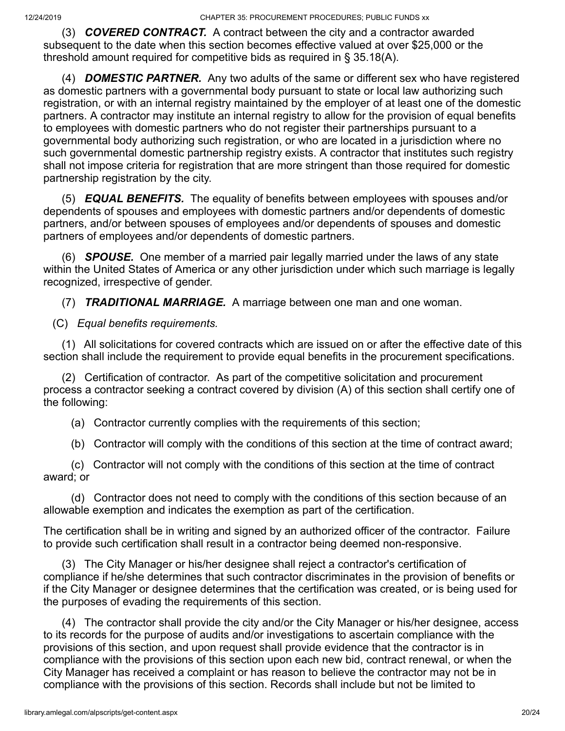(3) *COVERED CONTRACT.* A contract between the city and a contractor awarded subsequent to the date when this section becomes effective valued at over \$25,000 or the threshold amount required for competitive bids as required in § 35.18(A).

 (4) *DOMESTIC PARTNER.* Any two adults of the same or different sex who have registered as domestic partners with a governmental body pursuant to state or local law authorizing such registration, or with an internal registry maintained by the employer of at least one of the domestic partners. A contractor may institute an internal registry to allow for the provision of equal benefits to employees with domestic partners who do not register their partnerships pursuant to a governmental body authorizing such registration, or who are located in a jurisdiction where no such governmental domestic partnership registry exists. A contractor that institutes such registry shall not impose criteria for registration that are more stringent than those required for domestic partnership registration by the city.

 (5) *EQUAL BENEFITS.* The equality of benefits between employees with spouses and/or dependents of spouses and employees with domestic partners and/or dependents of domestic partners, and/or between spouses of employees and/or dependents of spouses and domestic partners of employees and/or dependents of domestic partners.

 (6) *SPOUSE.* One member of a married pair legally married under the laws of any state within the United States of America or any other jurisdiction under which such marriage is legally recognized, irrespective of gender.

(7) *TRADITIONAL MARRIAGE.* A marriage between one man and one woman.

(C) *Equal benefits requirements.*

 (1) All solicitations for covered contracts which are issued on or after the effective date of this section shall include the requirement to provide equal benefits in the procurement specifications.

 (2) Certification of contractor. As part of the competitive solicitation and procurement process a contractor seeking a contract covered by division (A) of this section shall certify one of the following:

(a) Contractor currently complies with the requirements of this section;

(b) Contractor will comply with the conditions of this section at the time of contract award;

 (c) Contractor will not comply with the conditions of this section at the time of contract award; or

 (d) Contractor does not need to comply with the conditions of this section because of an allowable exemption and indicates the exemption as part of the certification.

The certification shall be in writing and signed by an authorized officer of the contractor. Failure to provide such certification shall result in a contractor being deemed non-responsive.

 (3) The City Manager or his/her designee shall reject a contractor's certification of compliance if he/she determines that such contractor discriminates in the provision of benefits or if the City Manager or designee determines that the certification was created, or is being used for the purposes of evading the requirements of this section.

 (4) The contractor shall provide the city and/or the City Manager or his/her designee, access to its records for the purpose of audits and/or investigations to ascertain compliance with the provisions of this section, and upon request shall provide evidence that the contractor is in compliance with the provisions of this section upon each new bid, contract renewal, or when the City Manager has received a complaint or has reason to believe the contractor may not be in compliance with the provisions of this section. Records shall include but not be limited to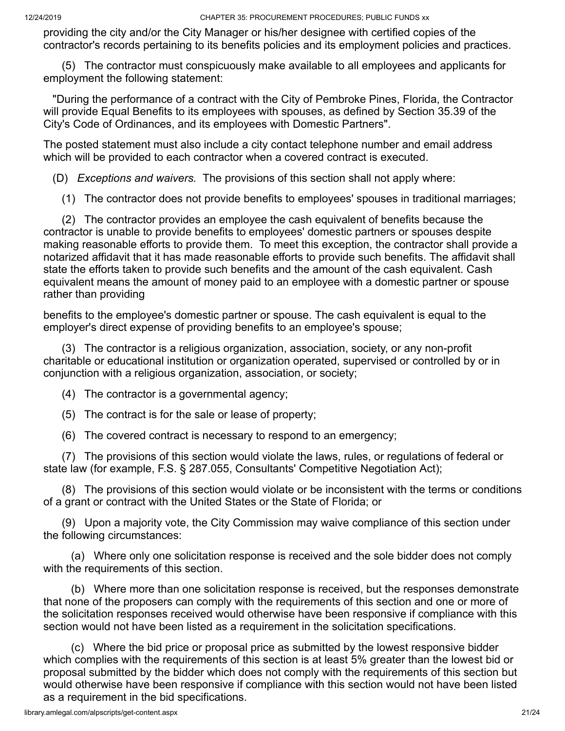providing the city and/or the City Manager or his/her designee with certified copies of the contractor's records pertaining to its benefits policies and its employment policies and practices.

 (5) The contractor must conspicuously make available to all employees and applicants for employment the following statement:

 "During the performance of a contract with the City of Pembroke Pines, Florida, the Contractor will provide Equal Benefits to its employees with spouses, as defined by Section 35.39 of the City's Code of Ordinances, and its employees with Domestic Partners".

The posted statement must also include a city contact telephone number and email address which will be provided to each contractor when a covered contract is executed.

(D) *Exceptions and waivers.* The provisions of this section shall not apply where:

(1) The contractor does not provide benefits to employees' spouses in traditional marriages;

 (2) The contractor provides an employee the cash equivalent of benefits because the contractor is unable to provide benefits to employees' domestic partners or spouses despite making reasonable efforts to provide them. To meet this exception, the contractor shall provide a notarized affidavit that it has made reasonable efforts to provide such benefits. The affidavit shall state the efforts taken to provide such benefits and the amount of the cash equivalent. Cash equivalent means the amount of money paid to an employee with a domestic partner or spouse rather than providing

benefits to the employee's domestic partner or spouse. The cash equivalent is equal to the employer's direct expense of providing benefits to an employee's spouse;

 (3) The contractor is a religious organization, association, society, or any non-profit charitable or educational institution or organization operated, supervised or controlled by or in conjunction with a religious organization, association, or society;

(4) The contractor is a governmental agency;

(5) The contract is for the sale or lease of property;

(6) The covered contract is necessary to respond to an emergency;

 (7) The provisions of this section would violate the laws, rules, or regulations of federal or state law (for example, F.S. § 287.055, Consultants' Competitive Negotiation Act);

 (8) The provisions of this section would violate or be inconsistent with the terms or conditions of a grant or contract with the United States or the State of Florida; or

 (9) Upon a majority vote, the City Commission may waive compliance of this section under the following circumstances:

 (a) Where only one solicitation response is received and the sole bidder does not comply with the requirements of this section.

 (b) Where more than one solicitation response is received, but the responses demonstrate that none of the proposers can comply with the requirements of this section and one or more of the solicitation responses received would otherwise have been responsive if compliance with this section would not have been listed as a requirement in the solicitation specifications.

 (c) Where the bid price or proposal price as submitted by the lowest responsive bidder which complies with the requirements of this section is at least 5% greater than the lowest bid or proposal submitted by the bidder which does not comply with the requirements of this section but would otherwise have been responsive if compliance with this section would not have been listed as a requirement in the bid specifications.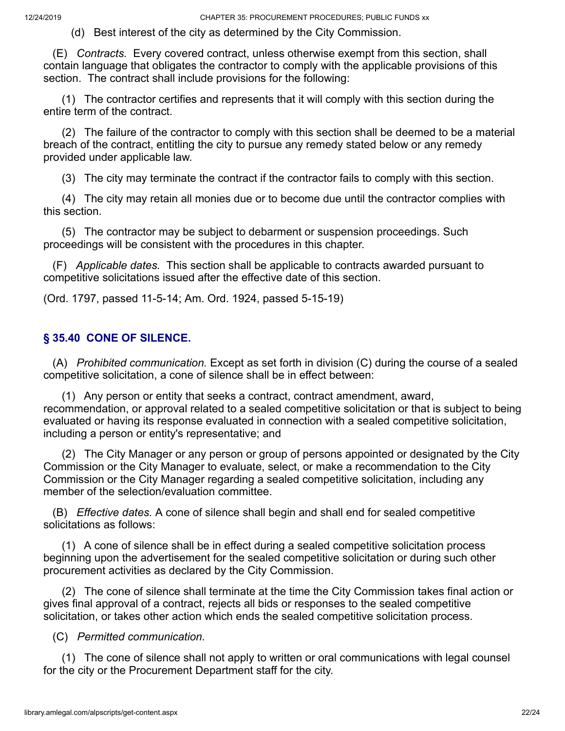(d) Best interest of the city as determined by the City Commission.

 (E) *Contracts.* Every covered contract, unless otherwise exempt from this section, shall contain language that obligates the contractor to comply with the applicable provisions of this section. The contract shall include provisions for the following:

 (1) The contractor certifies and represents that it will comply with this section during the entire term of the contract.

 (2) The failure of the contractor to comply with this section shall be deemed to be a material breach of the contract, entitling the city to pursue any remedy stated below or any remedy provided under applicable law.

(3) The city may terminate the contract if the contractor fails to comply with this section.

 (4) The city may retain all monies due or to become due until the contractor complies with this section.

 (5) The contractor may be subject to debarment or suspension proceedings. Such proceedings will be consistent with the procedures in this chapter.

 (F) *Applicable dates.* This section shall be applicable to contracts awarded pursuant to competitive solicitations issued after the effective date of this section.

(Ord. 1797, passed 11-5-14; Am. Ord. 1924, passed 5-15-19)

# **§ 35.40 CONE OF SILENCE.**

 (A) *Prohibited communication.* Except as set forth in division (C) during the course of a sealed competitive solicitation, a cone of silence shall be in effect between:

 (1) Any person or entity that seeks a contract, contract amendment, award, recommendation, or approval related to a sealed competitive solicitation or that is subject to being evaluated or having its response evaluated in connection with a sealed competitive solicitation, including a person or entity's representative; and

 (2) The City Manager or any person or group of persons appointed or designated by the City Commission or the City Manager to evaluate, select, or make a recommendation to the City Commission or the City Manager regarding a sealed competitive solicitation, including any member of the selection/evaluation committee.

 (B) *Effective dates.* A cone of silence shall begin and shall end for sealed competitive solicitations as follows:

 (1) A cone of silence shall be in effect during a sealed competitive solicitation process beginning upon the advertisement for the sealed competitive solicitation or during such other procurement activities as declared by the City Commission.

 (2) The cone of silence shall terminate at the time the City Commission takes final action or gives final approval of a contract, rejects all bids or responses to the sealed competitive solicitation, or takes other action which ends the sealed competitive solicitation process.

#### (C) *Permitted communication.*

 (1) The cone of silence shall not apply to written or oral communications with legal counsel for the city or the Procurement Department staff for the city.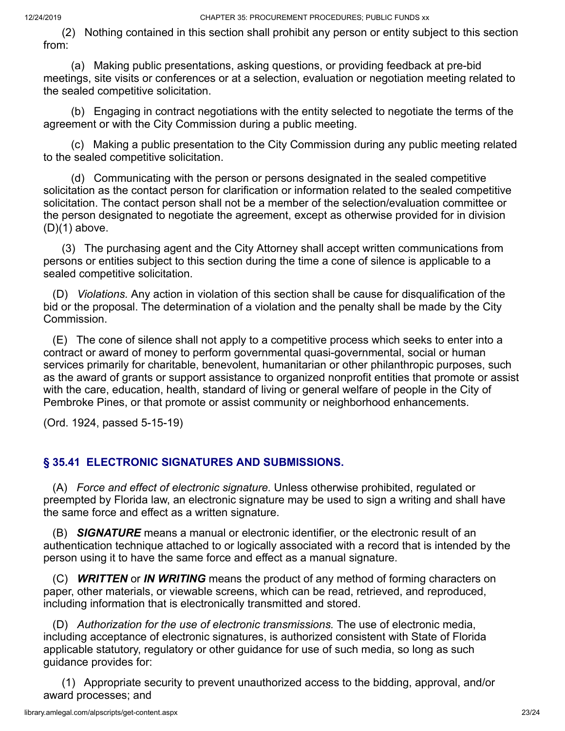(2) Nothing contained in this section shall prohibit any person or entity subject to this section from:

 (a) Making public presentations, asking questions, or providing feedback at pre-bid meetings, site visits or conferences or at a selection, evaluation or negotiation meeting related to the sealed competitive solicitation.

 (b) Engaging in contract negotiations with the entity selected to negotiate the terms of the agreement or with the City Commission during a public meeting.

 (c) Making a public presentation to the City Commission during any public meeting related to the sealed competitive solicitation.

 (d) Communicating with the person or persons designated in the sealed competitive solicitation as the contact person for clarification or information related to the sealed competitive solicitation. The contact person shall not be a member of the selection/evaluation committee or the person designated to negotiate the agreement, except as otherwise provided for in division  $(D)(1)$  above.

 (3) The purchasing agent and the City Attorney shall accept written communications from persons or entities subject to this section during the time a cone of silence is applicable to a sealed competitive solicitation.

 (D) *Violations.* Any action in violation of this section shall be cause for disqualification of the bid or the proposal. The determination of a violation and the penalty shall be made by the City Commission.

 (E) The cone of silence shall not apply to a competitive process which seeks to enter into a contract or award of money to perform governmental quasi-governmental, social or human services primarily for charitable, benevolent, humanitarian or other philanthropic purposes, such as the award of grants or support assistance to organized nonprofit entities that promote or assist with the care, education, health, standard of living or general welfare of people in the City of Pembroke Pines, or that promote or assist community or neighborhood enhancements.

(Ord. 1924, passed 5-15-19)

# **§ 35.41 ELECTRONIC SIGNATURES AND SUBMISSIONS.**

 (A) *Force and effect of electronic signature.* Unless otherwise prohibited, regulated or preempted by Florida law, an electronic signature may be used to sign a writing and shall have the same force and effect as a written signature.

 (B) *SIGNATURE* means a manual or electronic identifier, or the electronic result of an authentication technique attached to or logically associated with a record that is intended by the person using it to have the same force and effect as a manual signature.

 (C) *WRITTEN* or *IN WRITING* means the product of any method of forming characters on paper, other materials, or viewable screens, which can be read, retrieved, and reproduced, including information that is electronically transmitted and stored.

 (D) *Authorization for the use of electronic transmissions.* The use of electronic media, including acceptance of electronic signatures, is authorized consistent with State of Florida applicable statutory, regulatory or other guidance for use of such media, so long as such guidance provides for:

 (1) Appropriate security to prevent unauthorized access to the bidding, approval, and/or award processes; and